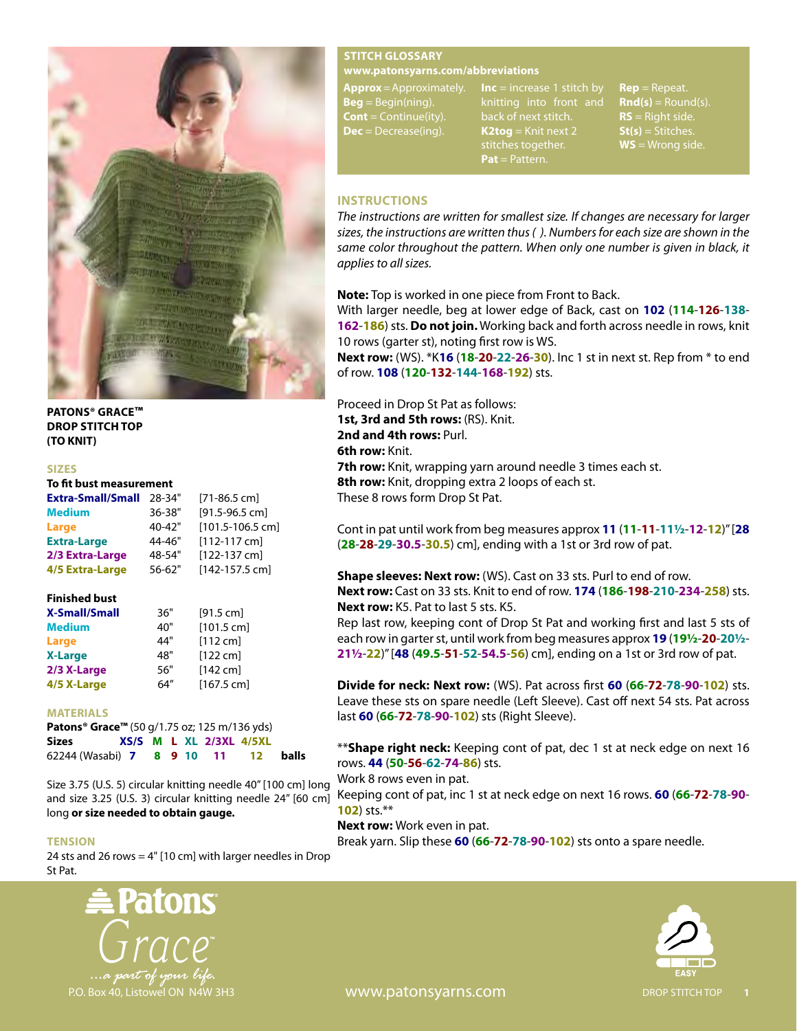

**PATONS® GRACE™ DROP STITCH TOP (TO KNIT)**

#### **SIZES**

# **To fit bust measurement**

| <b>Extra-Small/Small</b> | 28-34"     | $[71-86.5$ cm]       |
|--------------------------|------------|----------------------|
| <b>Medium</b>            | 36-38"     | $[91.5 - 96.5$ cm]   |
| Large                    | 40-42"     | $[101.5 - 106.5$ cm] |
| <b>Extra-Large</b>       | 44-46"     | $[112-117$ cm]       |
| 2/3 Extra-Large          | 48-54"     | [122-137 cm]         |
| 4/5 Extra-Large          | $56 - 62"$ | [142-157.5 cm]       |

## **Finished bust**

| <b>X-Small/Small</b> | 36" | [91.5 cm]          |  |  |
|----------------------|-----|--------------------|--|--|
| <b>Medium</b>        | 40" | $[101.5$ cm]       |  |  |
| Large                | 44" | $[112 \text{ cm}]$ |  |  |
| <b>X-Large</b>       | 48" | $[122$ cm $]$      |  |  |
| 2/3 X-Large          | 56" | $[142$ cm]         |  |  |
| 4/5 X-Large          | 64" | $[167.5$ cml       |  |  |

#### **MATERIALS**

| <b>Patons<sup>®</sup> Grace™</b> (50 g/1.75 oz; 125 m/136 yds) |  |  |  |  |  |                             |  |       |
|----------------------------------------------------------------|--|--|--|--|--|-----------------------------|--|-------|
| <b>Sizes</b>                                                   |  |  |  |  |  | $XS/S$ M L XL $2/3XL$ 4/5XL |  |       |
| 62244 (Wasabi) 7 8 9 10 11 12                                  |  |  |  |  |  |                             |  | balls |

Size 3.75 (U.S. 5) circular knitting needle 40" [100 cm] long and size 3.25 (U.S. 3) circular knitting needle 24" [60 cm] long **or size needed to obtain gauge.**

#### **TENSION**

24 sts and 26 rows = 4" [10 cm] with larger needles in Drop St Pat.



## **STITCH GLOSSARY**

#### **www.patonsyarns.com/abbreviations**

**Approx** = Approximately. **Beg** = Begin(ning). **Cont** = Continue(ity). **Dec** = Decrease(ing).

**Inc** = increase 1 stitch by knitting into front and back of next stitch. **K2tog** = Knit next 2 stitches together. **Pat** = Pattern.

**Rep** = Repeat. **Rnd(s)** = Round(s). **RS** = Right side. **St(s)** = Stitches. **WS** = Wrong side.

## **INSTRUCTIONS**

*The instructions are written for smallest size. If changes are necessary for larger sizes, the instructions are written thus ( ). Numbers for each size are shown in the same color throughout the pattern. When only one number is given in black, it applies to all sizes.*

**Note:** Top is worked in one piece from Front to Back.

With larger needle, beg at lower edge of Back, cast on **102** (**114**-**126**-**138**- **162**-**186**) sts. **Do not join.** Working back and forth across needle in rows, knit 10 rows (garter st), noting first row is WS.

**Next row:** (WS). \*K**16** (**18**-**20**-**22**-**26**-**30**). Inc 1 st in next st. Rep from \* to end of row. **108** (**120**-**132**-**144**-**168**-**192**) sts.

Proceed in Drop St Pat as follows: **1st, 3rd and 5th rows:** (RS). Knit. 2nd and 4th rows: Purl. **6th row:** Knit. **7th row:** Knit, wrapping yarn around needle 3 times each st.

**8th row:** Knit, dropping extra 2 loops of each st. These 8 rows form Drop St Pat.

Cont in pat until work from beg measures approx **11** (**11**-**11**-**11½**-**12**-**12**)" [**28** (**28**-**28**-**29**-**30.5**-**30.5**) cm], ending with a 1st or 3rd row of pat.

## **Shape sleeves: Next row:** (WS). Cast on 33 sts. Purl to end of row. **Next row:** Cast on 33 sts. Knit to end of row. **174** (**186**-**198**-**210**-**234**-**258**) sts. **Next row:** K5. Pat to last 5 sts. K5.

Rep last row, keeping cont of Drop St Pat and working first and last 5 sts of each row in garter st, until work from beg measures approx **19** (**19½**-**20**-**20½**- **21½**-**22**)" [**48** (**49.5**-**51**-**52**-**54.5**-**56**) cm], ending on a 1st or 3rd row of pat.

**Divide for neck: Next row:** (WS). Pat across first **60** (66-72-78-90-102) sts. Leave these sts on spare needle (Left Sleeve). Cast off next 54 sts. Pat across last **60** (**66**-**72**-**78**-**90**-**102**) sts (Right Sleeve).

\*\***Shape right neck:** Keeping cont of pat, dec 1 st at neck edge on next 16 rows. **44** (**50**-**56**-**62**-**74**-**86**) sts.

Work 8 rows even in pat.

Keeping cont of pat, inc 1 st at neck edge on next 16 rows. **60** (**66**-**72**-**78**-**90**- **102**) sts.\*\*

**Next row:** Work even in pat.

Break yarn. Slip these **60** (**66**-**72**-**78**-**90**-**102**) sts onto a spare needle.